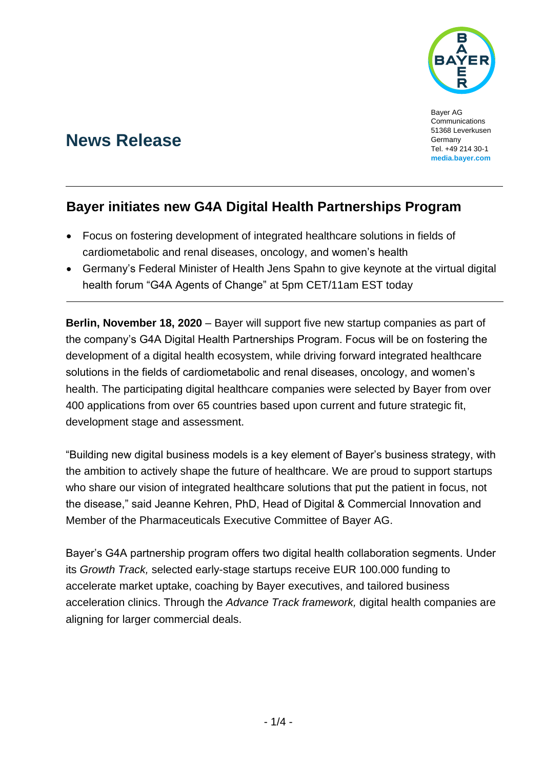

Bayer AG **Communications** 51368 Leverkusen Germany Tel. +49 214 30-1 **media.bayer.com**

# **News Release**

## **Bayer initiates new G4A Digital Health Partnerships Program**

- Focus on fostering development of integrated healthcare solutions in fields of cardiometabolic and renal diseases, oncology, and women's health
- Germany's Federal Minister of Health Jens Spahn to give keynote at the virtual digital health forum "G4A Agents of Change" at 5pm CET/11am EST today

**Berlin, November 18, 2020** – Bayer will support five new startup companies as part of the company's G4A Digital Health Partnerships Program. Focus will be on fostering the development of a digital health ecosystem, while driving forward integrated healthcare solutions in the fields of cardiometabolic and renal diseases, oncology, and women's health. The participating digital healthcare companies were selected by Bayer from over 400 applications from over 65 countries based upon current and future strategic fit, development stage and assessment.

"Building new digital business models is a key element of Bayer's business strategy, with the ambition to actively shape the future of healthcare. We are proud to support startups who share our vision of integrated healthcare solutions that put the patient in focus, not the disease," said Jeanne Kehren, PhD, Head of Digital & Commercial Innovation and Member of the Pharmaceuticals Executive Committee of Bayer AG.

Bayer's G4A partnership program offers two digital health collaboration segments. Under its *Growth Track,* selected early-stage startups receive EUR 100.000 funding to accelerate market uptake, coaching by Bayer executives, and tailored business acceleration clinics. Through the *Advance Track framework,* digital health companies are aligning for larger commercial deals.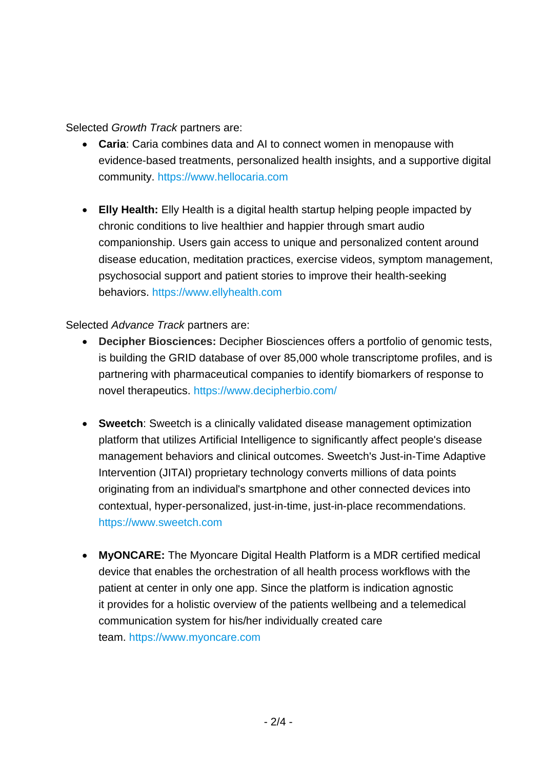Selected *Growth Track* partners are:

- **Caria**: Caria combines data and AI to connect women in menopause with evidence-based treatments, personalized health insights, and a supportive digital community. [https://www.hellocaria.com](https://www.hellocaria.com/)
- **Elly Health:** Elly Health is a digital health startup helping people impacted by chronic conditions to live healthier and happier through smart audio companionship. Users gain access to unique and personalized content around disease education, meditation practices, exercise videos, symptom management, psychosocial support and patient stories to improve their health-seeking behaviors. [https://www.ellyhealth.com](https://www.ellyhealth.com/)

Selected *Advance Track* partners are:

- **Decipher Biosciences:** Decipher Biosciences offers a portfolio of genomic tests, is building the GRID database of over 85,000 whole transcriptome profiles, and is partnering with pharmaceutical companies to identify biomarkers of response to novel therapeutics.<https://www.decipherbio.com/>
- **Sweetch**: Sweetch is a clinically validated disease management optimization platform that utilizes Artificial Intelligence to significantly affect people's disease management behaviors and clinical outcomes. Sweetch's Just-in-Time Adaptive Intervention (JITAI) proprietary technology converts millions of data points originating from an individual's smartphone and other connected devices into contextual, hyper-personalized, just-in-time, just-in-place recommendations. [https://www.sweetch.com](https://www.sweetch.com/)
- **MyONCARE:** The Myoncare Digital Health Platform is a MDR certified medical device that enables the orchestration of all health process workflows with the patient at center in only one app. Since the platform is indication agnostic it provides for a holistic overview of the patients wellbeing and a telemedical communication system for his/her individually created care team. [https://www.myoncare.com](https://www.myoncare.com/)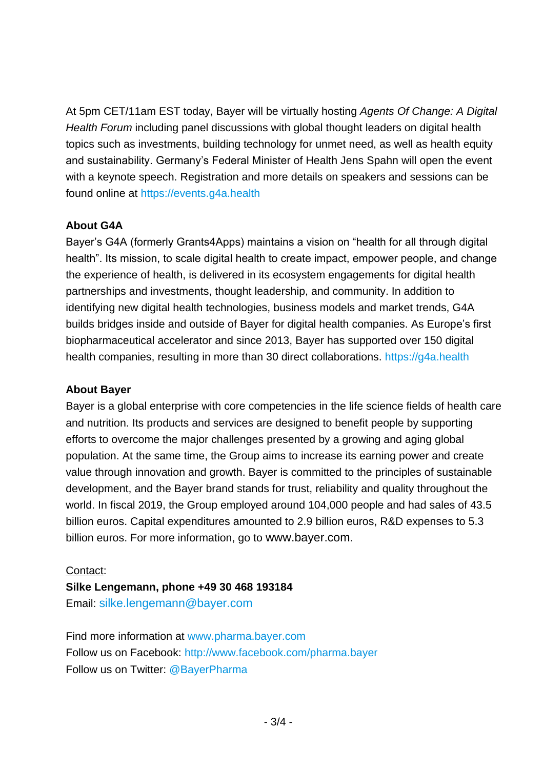At 5pm CET/11am EST today, Bayer will be virtually hosting *Agents Of Change: A Digital Health Forum* including panel discussions with global thought leaders on digital health topics such as investments, building technology for unmet need, as well as health equity and sustainability. Germany's Federal Minister of Health Jens Spahn will open the event with a keynote speech. Registration and more details on speakers and sessions can be found online at [https://events.g4a.health](https://events.g4a.health/)

## **About G4A**

Bayer's G4A (formerly Grants4Apps) maintains a vision on "health for all through digital health". Its mission, to scale digital health to create impact, empower people, and change the experience of health, is delivered in its ecosystem engagements for digital health partnerships and investments, thought leadership, and community. In addition to identifying new digital health technologies, business models and market trends, G4A builds bridges inside and outside of Bayer for digital health companies. As Europe's first biopharmaceutical accelerator and since 2013, Bayer has supported over 150 digital health companies, resulting in more than 30 direct collaborations. [https://g4a.health](https://g4a.health/)

### **About Bayer**

Bayer is a global enterprise with core competencies in the life science fields of health care and nutrition. Its products and services are designed to benefit people by supporting efforts to overcome the major challenges presented by a growing and aging global population. At the same time, the Group aims to increase its earning power and create value through innovation and growth. Bayer is committed to the principles of sustainable development, and the Bayer brand stands for trust, reliability and quality throughout the world. In fiscal 2019, the Group employed around 104,000 people and had sales of 43.5 billion euros. Capital expenditures amounted to 2.9 billion euros, R&D expenses to 5.3 billion euros. For more information, go to [www.bayer.com](http://www.bayer.com/).

### Contact:

**Silke Lengemann, phone +49 30 468 193184** Email: [silke.lengemann@bayer.com](mailto:silke.lengemann@bayer.com)

Find more information at [www.pharma.bayer.com](http://www.pharma.bayer.com/) Follow us on Facebook:<http://www.facebook.com/pharma.bayer> Follow us on Twitter: [@BayerPharma](https://twitter.com/bayerpharma)